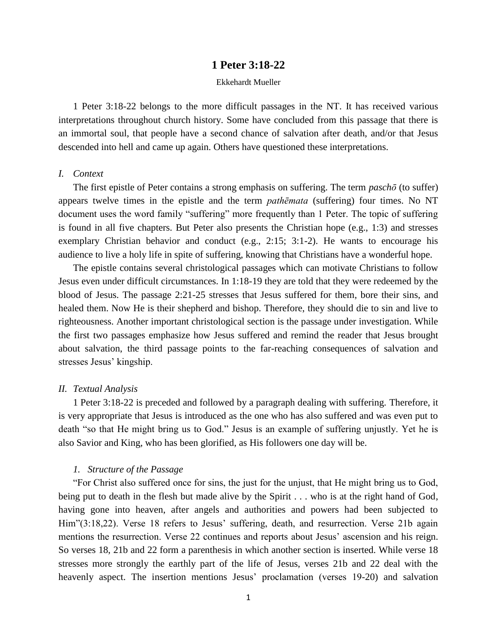# **1 Peter 3:18-22**

### Ekkehardt Mueller

1 Peter 3:18-22 belongs to the more difficult passages in the NT. It has received various interpretations throughout church history. Some have concluded from this passage that there is an immortal soul, that people have a second chance of salvation after death, and/or that Jesus descended into hell and came up again. Others have questioned these interpretations.

### *I. Context*

The first epistle of Peter contains a strong emphasis on suffering. The term *paschō* (to suffer) appears twelve times in the epistle and the term *pathēmata* (suffering) four times. No NT document uses the word family "suffering" more frequently than 1 Peter. The topic of suffering is found in all five chapters. But Peter also presents the Christian hope (e.g., 1:3) and stresses exemplary Christian behavior and conduct (e.g., 2:15; 3:1-2). He wants to encourage his audience to live a holy life in spite of suffering, knowing that Christians have a wonderful hope.

The epistle contains several christological passages which can motivate Christians to follow Jesus even under difficult circumstances. In 1:18-19 they are told that they were redeemed by the blood of Jesus. The passage 2:21-25 stresses that Jesus suffered for them, bore their sins, and healed them. Now He is their shepherd and bishop. Therefore, they should die to sin and live to righteousness. Another important christological section is the passage under investigation. While the first two passages emphasize how Jesus suffered and remind the reader that Jesus brought about salvation, the third passage points to the far-reaching consequences of salvation and stresses Jesus' kingship.

## *II. Textual Analysis*

1 Peter 3:18-22 is preceded and followed by a paragraph dealing with suffering. Therefore, it is very appropriate that Jesus is introduced as the one who has also suffered and was even put to death "so that He might bring us to God." Jesus is an example of suffering unjustly. Yet he is also Savior and King, who has been glorified, as His followers one day will be.

# *1. Structure of the Passage*

"For Christ also suffered once for sins, the just for the unjust, that He might bring us to God, being put to death in the flesh but made alive by the Spirit . . . who is at the right hand of God, having gone into heaven, after angels and authorities and powers had been subjected to Him"(3:18,22). Verse 18 refers to Jesus' suffering, death, and resurrection. Verse 21b again mentions the resurrection. Verse 22 continues and reports about Jesus' ascension and his reign. So verses 18, 21b and 22 form a parenthesis in which another section is inserted. While verse 18 stresses more strongly the earthly part of the life of Jesus, verses 21b and 22 deal with the heavenly aspect. The insertion mentions Jesus' proclamation (verses 19-20) and salvation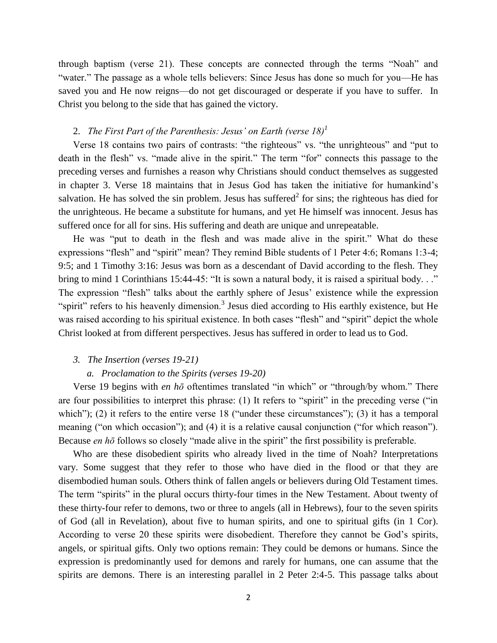through baptism (verse 21). These concepts are connected through the terms "Noah" and "water." The passage as a whole tells believers: Since Jesus has done so much for you—He has saved you and He now reigns—do not get discouraged or desperate if you have to suffer. In Christ you belong to the side that has gained the victory.

# 2. *The First Part of the Parenthesis: Jesus' on Earth (verse 18)<sup>1</sup>*

Verse 18 contains two pairs of contrasts: "the righteous" vs. "the unrighteous" and "put to death in the flesh" vs. "made alive in the spirit." The term "for" connects this passage to the preceding verses and furnishes a reason why Christians should conduct themselves as suggested in chapter 3. Verse 18 maintains that in Jesus God has taken the initiative for humankind's salvation. He has solved the sin problem. Jesus has suffered<sup>2</sup> for sins; the righteous has died for the unrighteous. He became a substitute for humans, and yet He himself was innocent. Jesus has suffered once for all for sins. His suffering and death are unique and unrepeatable.

He was "put to death in the flesh and was made alive in the spirit." What do these expressions "flesh" and "spirit" mean? They remind Bible students of 1 Peter 4:6; Romans 1:3-4; 9:5; and 1 Timothy 3:16: Jesus was born as a descendant of David according to the flesh. They bring to mind 1 Corinthians 15:44-45: "It is sown a natural body, it is raised a spiritual body..." The expression "flesh" talks about the earthly sphere of Jesus' existence while the expression "spirit" refers to his heavenly dimension.<sup>3</sup> Jesus died according to His earthly existence, but He was raised according to his spiritual existence. In both cases "flesh" and "spirit" depict the whole Christ looked at from different perspectives. Jesus has suffered in order to lead us to God.

### *3. The Insertion (verses 19-21)*

### *a. Proclamation to the Spirits (verses 19-20)*

Verse 19 begins with *en hō* oftentimes translated "in which" or "through/by whom." There are four possibilities to interpret this phrase: (1) It refers to "spirit" in the preceding verse ("in which"); (2) it refers to the entire verse 18 ("under these circumstances"); (3) it has a temporal meaning ("on which occasion"); and (4) it is a relative causal conjunction ("for which reason"). Because *en hō* follows so closely "made alive in the spirit" the first possibility is preferable.

Who are these disobedient spirits who already lived in the time of Noah? Interpretations vary. Some suggest that they refer to those who have died in the flood or that they are disembodied human souls. Others think of fallen angels or believers during Old Testament times. The term "spirits" in the plural occurs thirty-four times in the New Testament. About twenty of these thirty-four refer to demons, two or three to angels (all in Hebrews), four to the seven spirits of God (all in Revelation), about five to human spirits, and one to spiritual gifts (in 1 Cor). According to verse 20 these spirits were disobedient. Therefore they cannot be God's spirits, angels, or spiritual gifts. Only two options remain: They could be demons or humans. Since the expression is predominantly used for demons and rarely for humans, one can assume that the spirits are demons. There is an interesting parallel in 2 Peter 2:4-5. This passage talks about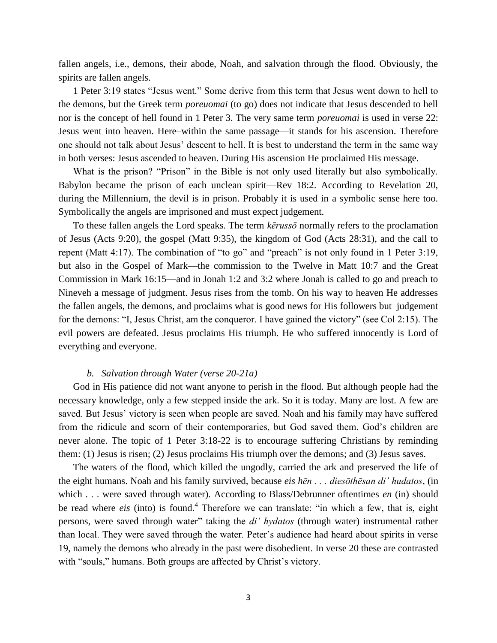fallen angels, i.e., demons, their abode, Noah, and salvation through the flood. Obviously, the spirits are fallen angels.

1 Peter 3:19 states "Jesus went." Some derive from this term that Jesus went down to hell to the demons, but the Greek term *poreuomai* (to go) does not indicate that Jesus descended to hell nor is the concept of hell found in 1 Peter 3. The very same term *poreuomai* is used in verse 22: Jesus went into heaven. Here–within the same passage—it stands for his ascension. Therefore one should not talk about Jesus' descent to hell. It is best to understand the term in the same way in both verses: Jesus ascended to heaven. During His ascension He proclaimed His message.

What is the prison? "Prison" in the Bible is not only used literally but also symbolically. Babylon became the prison of each unclean spirit—Rev 18:2. According to Revelation 20, during the Millennium, the devil is in prison. Probably it is used in a symbolic sense here too. Symbolically the angels are imprisoned and must expect judgement.

To these fallen angels the Lord speaks. The term *kērussō* normally refers to the proclamation of Jesus (Acts 9:20), the gospel (Matt 9:35), the kingdom of God (Acts 28:31), and the call to repent (Matt 4:17). The combination of "to go" and "preach" is not only found in 1 Peter 3:19, but also in the Gospel of Mark—the commission to the Twelve in Matt 10:7 and the Great Commission in Mark 16:15—and in Jonah 1:2 and 3:2 where Jonah is called to go and preach to Nineveh a message of judgment. Jesus rises from the tomb. On his way to heaven He addresses the fallen angels, the demons, and proclaims what is good news for His followers but judgement for the demons: "I, Jesus Christ, am the conqueror. I have gained the victory" (see Col 2:15). The evil powers are defeated. Jesus proclaims His triumph. He who suffered innocently is Lord of everything and everyone.

#### *b. Salvation through Water (verse 20-21a)*

God in His patience did not want anyone to perish in the flood. But although people had the necessary knowledge, only a few stepped inside the ark. So it is today. Many are lost. A few are saved. But Jesus' victory is seen when people are saved. Noah and his family may have suffered from the ridicule and scorn of their contemporaries, but God saved them. God's children are never alone. The topic of 1 Peter 3:18-22 is to encourage suffering Christians by reminding them: (1) Jesus is risen; (2) Jesus proclaims His triumph over the demons; and (3) Jesus saves.

The waters of the flood, which killed the ungodly, carried the ark and preserved the life of the eight humans. Noah and his family survived, because *eis hēn . . . diesōthēsan di' hudatos*, (in which . . . were saved through water). According to Blass/Debrunner oftentimes *en* (in) should be read where *eis* (into) is found.<sup>4</sup> Therefore we can translate: "in which a few, that is, eight persons, were saved through water" taking the *di' hydatos* (through water) instrumental rather than local. They were saved through the water. Peter's audience had heard about spirits in verse 19, namely the demons who already in the past were disobedient. In verse 20 these are contrasted with "souls," humans. Both groups are affected by Christ's victory.